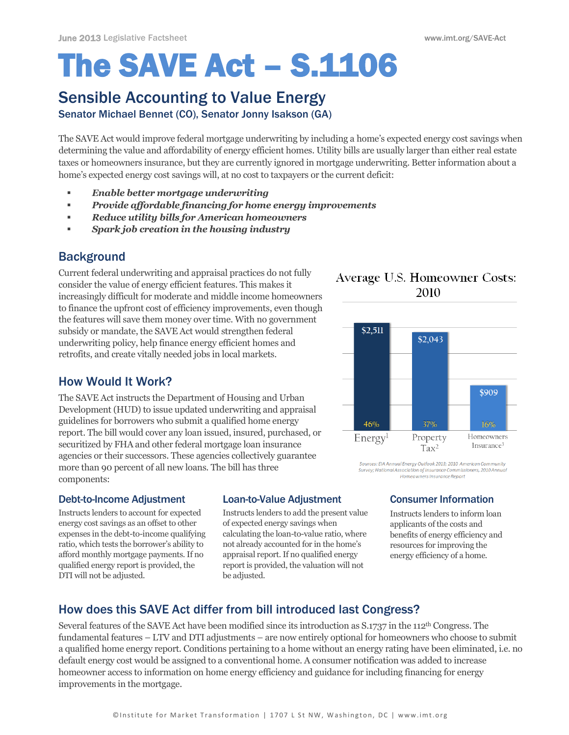# The SAVE Act – S.1106

# Sensible Accounting to Value Energy

Senator Michael Bennet (CO), Senator Jonny Isakson (GA)

The SAVE Act would improve federal mortgage underwriting by including a home's expected energy cost savings when determining the value and affordability of energy efficient homes. Utility bills are usually larger than either real estate taxes or homeowners insurance, but they are currently ignored in mortgage underwriting. Better information about a home's expected energy cost savings will, at no cost to taxpayers or the current deficit: *Enable better mortgage underwriting*

- 
- *Provide affordable financing for home energy improvements*
- *Reduce utility bills for American homeowners*
- *Spark job creation in the housing industry*

# **Background**

Current federal underwriting and appraisal practices do not fully consider the value of energy efficient features. This makes it increasingly difficult for moderate and middle income homeowners to finance the upfront cost of efficiency improvements, even though the features will save them money over time. With no government subsidy or mandate, the SAVE Act would strengthen federal underwriting policy, help finance energy efficient homes and retrofits, and create vitally needed jobs in local markets.

# How Would It Work?

The SAVE Act instructs the Department of Housing and Urban Development (HUD) to issue updated underwriting and appraisal guidelines for borrowers who submit a qualified home energy report. The bill would cover any loan issued, insured, purchased, or securitized by FHA and other federal mortgage loan insurance agencies or their successors. These agencies collectively guarantee more than 90 percent of all new loans. The bill has three components:

#### Debt-to-Income Adjustment

Instructs lenders to account for expected energy cost savings as an offset to other expenses in the debt-to-income qualifying ratio, which tests the borrower's ability to afford monthly mortgage payments. If no qualified energy report is provided, the DTI will not be adjusted.

#### Loan-to-Value Adjustment

Instructs lenders to add the present value of expected energy savings when calculating the loan-to-value ratio, where not already accounted for in the home's appraisal report. If no qualified energy report is provided, the valuation will not be adjusted.

### Average U.S. Homeowner Costs: 2010



Sources: EIA Annual Energy Outlook 2013; 2010 American Community Survey: National Association of Insurance Commissioners. 2010 Annu Homeowners Insurance Report

#### Consumer Information

Instructs lenders to inform loan applicants of the costs and benefits of energy efficiency and resources for improving the energy efficiency of a home.

# How does this SAVE Act differ from bill introduced last Congress?

Several features of the SAVE Act have been modified since its introduction as S.1737 in the 112th Congress. The fundamental features – LTV and DTI adjustments – are now entirely optional for homeowners who choose to submit a qualified home energy report. Conditions pertaining to a home without an energy rating have been eliminated, i.e. no default energy cost would be assigned to a conventional home. A consumer notification was added to increase homeowner access to information on home energy efficiency and guidance for including financing for energy improvements in the mortgage.